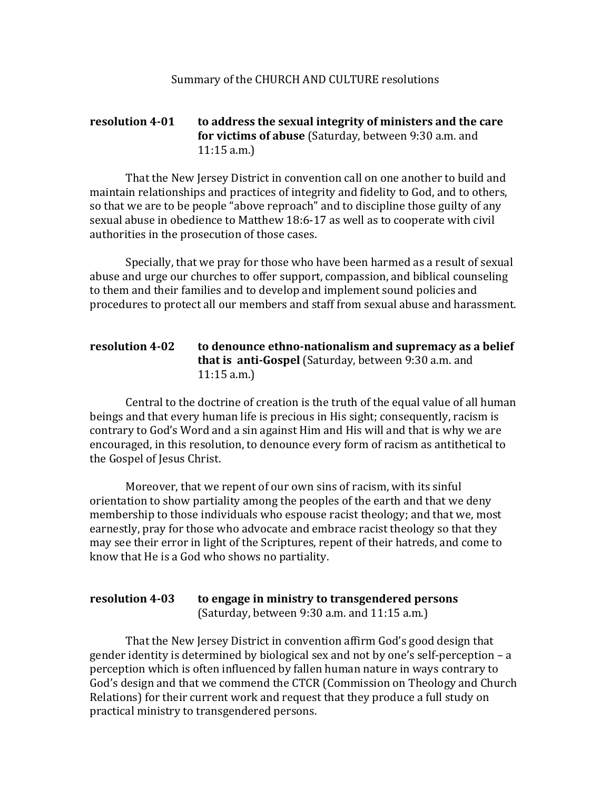## **resolution 4-01** to address the sexual integrity of ministers and the care **for victims of abuse** (Saturday, between 9:30 a.m. and  $11:15$  a.m.)

That the New Jersey District in convention call on one another to build and maintain relationships and practices of integrity and fidelity to God, and to others, so that we are to be people "above reproach" and to discipline those guilty of any sexual abuse in obedience to Matthew 18:6-17 as well as to cooperate with civil authorities in the prosecution of those cases.

Specially, that we pray for those who have been harmed as a result of sexual abuse and urge our churches to offer support, compassion, and biblical counseling to them and their families and to develop and implement sound policies and procedures to protect all our members and staff from sexual abuse and harassment.

## **resolution 4-02** to denounce ethno-nationalism and supremacy as a belief **that is anti-Gospel** (Saturday, between 9:30 a.m. and  $11:15$  a.m.)

Central to the doctrine of creation is the truth of the equal value of all human beings and that every human life is precious in His sight; consequently, racism is contrary to God's Word and a sin against Him and His will and that is why we are encouraged, in this resolution, to denounce every form of racism as antithetical to the Gospel of Jesus Christ.

Moreover, that we repent of our own sins of racism, with its sinful orientation to show partiality among the peoples of the earth and that we deny membership to those individuals who espouse racist theology; and that we, most earnestly, pray for those who advocate and embrace racist theology so that they may see their error in light of the Scriptures, repent of their hatreds, and come to know that He is a God who shows no partiality.

## **resolution 4-03** to engage in ministry to transgendered persons (Saturday, between  $9:30$  a.m. and  $11:15$  a.m.)

That the New Jersey District in convention affirm God's good design that gender identity is determined by biological sex and not by one's self-perception  $- a$ perception which is often influenced by fallen human nature in ways contrary to God's design and that we commend the CTCR (Commission on Theology and Church Relations) for their current work and request that they produce a full study on practical ministry to transgendered persons.